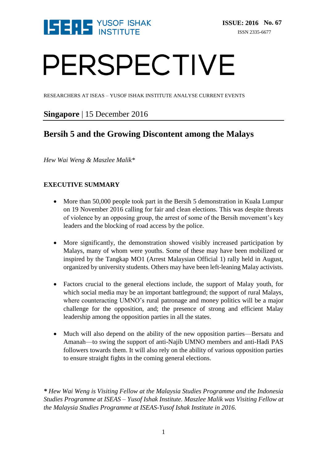

# PERSPECTIVE

RESEARCHERS AT ISEAS – YUSOF ISHAK INSTITUTE ANALYSE CURRENT EVENTS

## **Singapore** | 15 December 2016

# **Bersih 5 and the Growing Discontent among the Malays**

*Hew Wai Weng & Maszlee Malik\** 

## **EXECUTIVE SUMMARY**

- More than 50,000 people took part in the Bersih 5 demonstration in Kuala Lumpur on 19 November 2016 calling for fair and clean elections. This was despite threats of violence by an opposing group, the arrest of some of the Bersih movement's key leaders and the blocking of road access by the police.
- More significantly, the demonstration showed visibly increased participation by Malays, many of whom were youths. Some of these may have been mobilized or inspired by the Tangkap MO1 (Arrest Malaysian Official 1) rally held in August, organized by university students. Others may have been left-leaning Malay activists.
- Factors crucial to the general elections include, the support of Malay youth, for which social media may be an important battleground; the support of rural Malays, where counteracting UMNO's rural patronage and money politics will be a major challenge for the opposition, and; the presence of strong and efficient Malay leadership among the opposition parties in all the states.
- Much will also depend on the ability of the new opposition parties—Bersatu and Amanah—to swing the support of anti-Najib UMNO members and anti-Hadi PAS followers towards them. It will also rely on the ability of various opposition parties to ensure straight fights in the coming general elections.

*\* Hew Wai Weng is Visiting Fellow at the Malaysia Studies Programme and the Indonesia Studies Programme at ISEAS – Yusof Ishak Institute. Maszlee Malik was Visiting Fellow at the Malaysia Studies Programme at ISEAS-Yusof Ishak Institute in 2016.*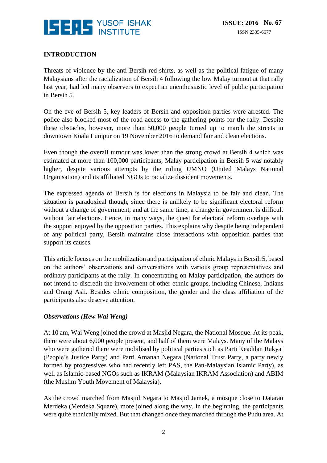

### **INTRODUCTION**

Threats of violence by the anti-Bersih red shirts, as well as the political fatigue of many Malaysians after the racialization of Bersih 4 following the low Malay turnout at that rally last year, had led many observers to expect an unenthusiastic level of public participation in Bersih 5.

On the eve of Bersih 5, key leaders of Bersih and opposition parties were arrested. The police also blocked most of the road access to the gathering points for the rally. Despite these obstacles, however, more than 50,000 people turned up to march the streets in downtown Kuala Lumpur on 19 November 2016 to demand fair and clean elections.

Even though the overall turnout was lower than the strong crowd at Bersih 4 which was estimated at more than 100,000 participants, Malay participation in Bersih 5 was notably higher, despite various attempts by the ruling UMNO (United Malays National Organisation) and its affiliated NGOs to racialize dissident movements.

The expressed agenda of Bersih is for elections in Malaysia to be fair and clean. The situation is paradoxical though, since there is unlikely to be significant electoral reform without a change of government, and at the same time, a change in government is difficult without fair elections. Hence, in many ways, the quest for electoral reform overlaps with the support enjoyed by the opposition parties. This explains why despite being independent of any political party, Bersih maintains close interactions with opposition parties that support its causes.

This article focuses on the mobilization and participation of ethnic Malays in Bersih 5, based on the authors' observations and conversations with various group representatives and ordinary participants at the rally. In concentrating on Malay participation, the authors do not intend to discredit the involvement of other ethnic groups, including Chinese, Indians and Orang Asli. Besides ethnic composition, the gender and the class affiliation of the participants also deserve attention.

#### *Observations (Hew Wai Weng)*

At 10 am, Wai Weng joined the crowd at Masjid Negara, the National Mosque. At its peak, there were about 6,000 people present, and half of them were Malays. Many of the Malays who were gathered there were mobilised by political parties such as Parti Keadilan Rakyat (People's Justice Party) and Parti Amanah Negara (National Trust Party, a party newly formed by progressives who had recently left PAS, the Pan-Malaysian Islamic Party), as well as Islamic-based NGOs such as IKRAM (Malaysian IKRAM Association) and ABIM (the Muslim Youth Movement of Malaysia).

As the crowd marched from Masjid Negara to Masjid Jamek, a mosque close to Dataran Merdeka (Merdeka Square), more joined along the way. In the beginning, the participants were quite ethnically mixed. But that changed once they marched through the Pudu area. At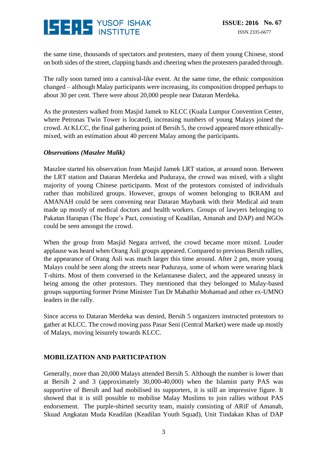

the same time, thousands of spectators and protesters, many of them young Chinese, stood on both sides of the street, clapping hands and cheering when the protesters paraded through.

The rally soon turned into a carnival-like event. At the same time, the ethnic composition changed – although Malay participants were increasing, its composition dropped perhaps to about 30 per cent. There were about 20,000 people near Dataran Merdeka.

As the protesters walked from Masjid Jamek to KLCC (Kuala Lumpur Convention Center, where Petronas Twin Tower is located), increasing numbers of young Malays joined the crowd. At KLCC, the final gathering point of Bersih 5, the crowd appeared more ethnicallymixed, with an estimation about 40 percent Malay among the participants.

#### *Observations (Maszlee Malik)*

Maszlee started his observation from Masjid Jamek LRT station, at around noon. Between the LRT station and Dataran Merdeka and Puduraya, the crowd was mixed, with a slight majority of young Chinese participants. Most of the protestors consisted of individuals rather than mobilized groups. However, groups of women belonging to IKRAM and AMANAH could be seen convening near Dataran Maybank with their Medical aid team made up mostly of medical doctors and health workers. Groups of lawyers belonging to Pakatan Harapan (The Hope's Pact, consisting of Keadilan, Amanah and DAP) and NGOs could be seen amongst the crowd.

When the group from Masjid Negara arrived, the crowd became more mixed. Louder applause was heard when Orang Asli groups appeared. Compared to previous Bersih rallies, the appearance of Orang Asli was much larger this time around. After 2 pm, more young Malays could be seen along the streets near Puduraya, some of whom were wearing black T-shirts. Most of them conversed in the Kelantanese dialect, and the appeared uneasy in being among the other protestors. They mentioned that they belonged to Malay-based groups supporting former Prime Minister Tun Dr Mahathir Mohamad and other ex-UMNO leaders in the rally.

Since access to Dataran Merdeka was denied, Bersih 5 organizers instructed protestors to gather at KLCC. The crowd moving pass Pasar Seni (Central Market) were made up mostly of Malays, moving leisurely towards KLCC.

#### **MOBILIZATION AND PARTICIPATION**

Generally, more than 20,000 Malays attended Bersih 5. Although the number is lower than at Bersih 2 and 3 (approximately 30,000-40,000) when the Islamist party PAS was supportive of Bersih and had mobilised its supporters, it is still an impressive figure. It showed that it is still possible to mobilise Malay Muslims to join rallies without PAS endorsement. The purple-shirted security team, mainly consisting of ARiF of Amanah, Skuad Angkatan Muda Keadilan (Keadilan Youth Squad), Unit Tindakan Khas of DAP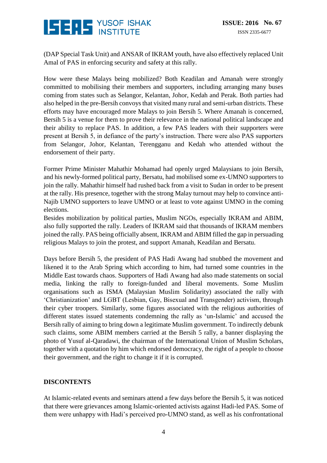

(DAP Special Task Unit) and ANSAR of IKRAM youth, have also effectively replaced Unit Amal of PAS in enforcing security and safety at this rally.

How were these Malays being mobilized? Both Keadilan and Amanah were strongly committed to mobilising their members and supporters, including arranging many buses coming from states such as Selangor, Kelantan, Johor, Kedah and Perak. Both parties had also helped in the pre-Bersih convoys that visited many rural and semi-urban districts. These efforts may have encouraged more Malays to join Bersih 5. Where Amanah is concerned, Bersih 5 is a venue for them to prove their relevance in the national political landscape and their ability to replace PAS. In addition, a few PAS leaders with their supporters were present at Bersih 5, in defiance of the party's instruction. There were also PAS supporters from Selangor, Johor, Kelantan, Terengganu and Kedah who attended without the endorsement of their party.

Former Prime Minister Mahathir Mohamad had openly urged Malaysians to join Bersih, and his newly-formed political party, Bersatu, had mobilised some ex-UMNO supporters to join the rally. Mahathir himself had rushed back from a visit to Sudan in order to be present at the rally. His presence, together with the strong Malay turnout may help to convince anti-Najib UMNO supporters to leave UMNO or at least to vote against UMNO in the coming elections.

Besides mobilization by political parties, Muslim NGOs, especially IKRAM and ABIM, also fully supported the rally. Leaders of IKRAM said that thousands of IKRAM members joined the rally. PAS being officially absent, IKRAM and ABIM filled the gap in persuading religious Malays to join the protest, and support Amanah, Keadilan and Bersatu.

Days before Bersih 5, the president of PAS Hadi Awang had snubbed the movement and likened it to the Arab Spring which according to him, had turned some countries in the Middle East towards chaos. Supporters of Hadi Awang had also made statements on social media, linking the rally to foreign-funded and liberal movements. Some Muslim organisations such as ISMA (Malaysian Muslim Solidarity) associated the rally with 'Christianization' and LGBT (Lesbian, Gay, Bisexual and Transgender) activism, through their cyber troopers. Similarly, some figures associated with the religious authorities of different states issued statements condemning the rally as 'un-Islamic' and accused the Bersih rally of aiming to bring down a legitimate Muslim government. To indirectly debunk such claims, some ABIM members carried at the Bersih 5 rally, a banner displaying the photo of Yusuf al-Qaradawi, the chairman of the International Union of Muslim Scholars, together with a quotation by him which endorsed democracy, the right of a people to choose their government, and the right to change it if it is corrupted.

#### **DISCONTENTS**

At Islamic-related events and seminars attend a few days before the Bersih 5, it was noticed that there were grievances among Islamic-oriented activists against Hadi-led PAS. Some of them were unhappy with Hadi's perceived pro-UMNO stand, as well as his confrontational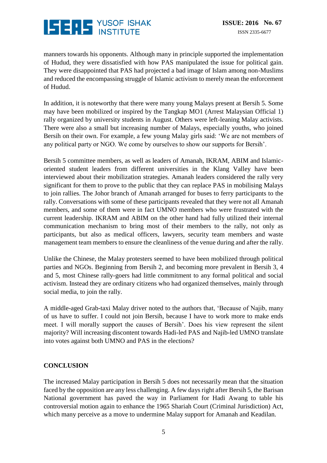

manners towards his opponents. Although many in principle supported the implementation of Hudud, they were dissatisfied with how PAS manipulated the issue for political gain. They were disappointed that PAS had projected a bad image of Islam among non-Muslims and reduced the encompassing struggle of Islamic activism to merely mean the enforcement of Hudud.

In addition, it is noteworthy that there were many young Malays present at Bersih 5. Some may have been mobilized or inspired by the Tangkap MO1 (Arrest Malaysian Official 1) rally organized by university students in August. Others were left-leaning Malay activists. There were also a small but increasing number of Malays, especially youths, who joined Bersih on their own. For example, a few young Malay girls said: 'We are not members of any political party or NGO. We come by ourselves to show our supports for Bersih'.

Bersih 5 committee members, as well as leaders of Amanah, IKRAM, ABIM and Islamicoriented student leaders from different universities in the Klang Valley have been interviewed about their mobilization strategies. Amanah leaders considered the rally very significant for them to prove to the public that they can replace PAS in mobilising Malays to join rallies. The Johor branch of Amanah arranged for buses to ferry participants to the rally. Conversations with some of these participants revealed that they were not all Amanah members, and some of them were in fact UMNO members who were frustrated with the current leadership. IKRAM and ABIM on the other hand had fully utilized their internal communication mechanism to bring most of their members to the rally, not only as participants, but also as medical officers, lawyers, security team members and waste management team members to ensure the cleanliness of the venue during and after the rally.

Unlike the Chinese, the Malay protesters seemed to have been mobilized through political parties and NGOs. Beginning from Bersih 2, and becoming more prevalent in Bersih 3, 4 and 5, most Chinese rally-goers had little commitment to any formal political and social activism. Instead they are ordinary citizens who had organized themselves, mainly through social media, to join the rally.

A middle-aged Grab-taxi Malay driver noted to the authors that, 'Because of Najib, many of us have to suffer. I could not join Bersih, because I have to work more to make ends meet. I will morally support the causes of Bersih'. Does his view represent the silent majority? Will increasing discontent towards Hadi-led PAS and Najib-led UMNO translate into votes against both UMNO and PAS in the elections?

#### **CONCLUSION**

The increased Malay participation in Bersih 5 does not necessarily mean that the situation faced by the opposition are any less challenging. A few days right after Bersih 5, the Barisan National government has paved the way in Parliament for Hadi Awang to table his controversial motion again to enhance the 1965 Shariah Court (Criminal Jurisdiction) Act, which many perceive as a move to undermine Malay support for Amanah and Keadilan.